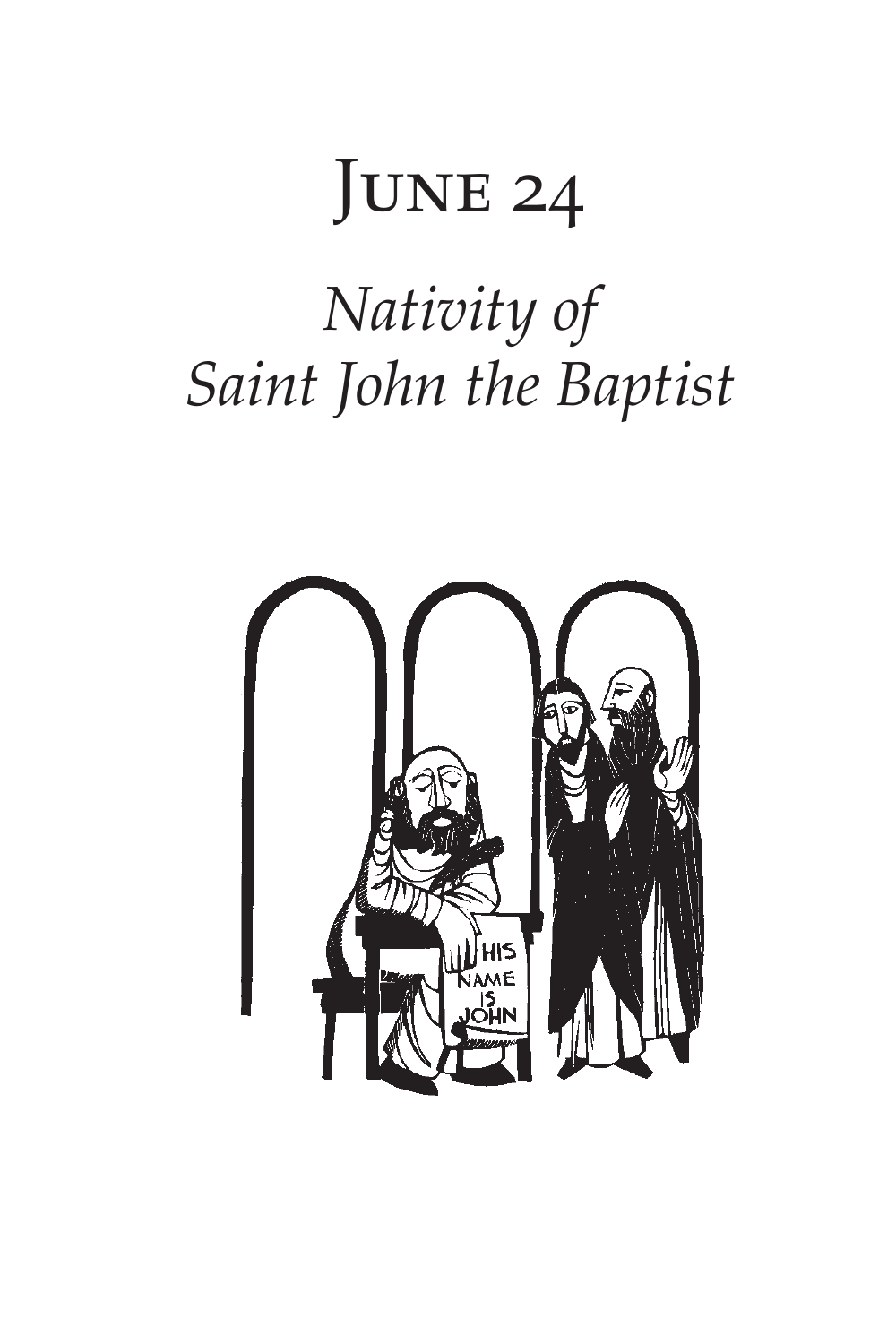# JUNE 24 *Nativity of Saint John the Baptist*

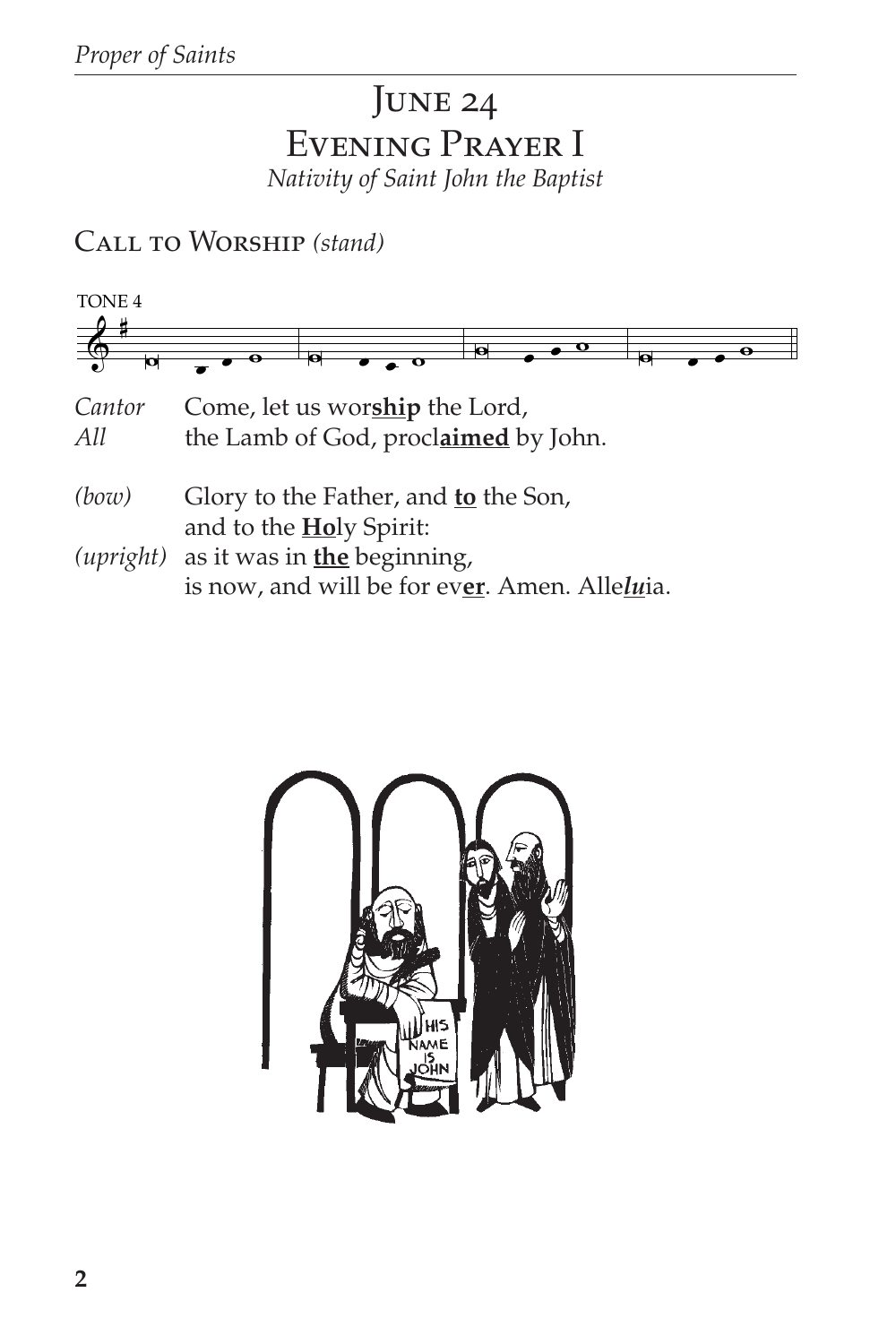## JUNE 24 EVENING PRAYER I Nativity of Saint John the Baptist

CALL TO WORSHIP (stand)



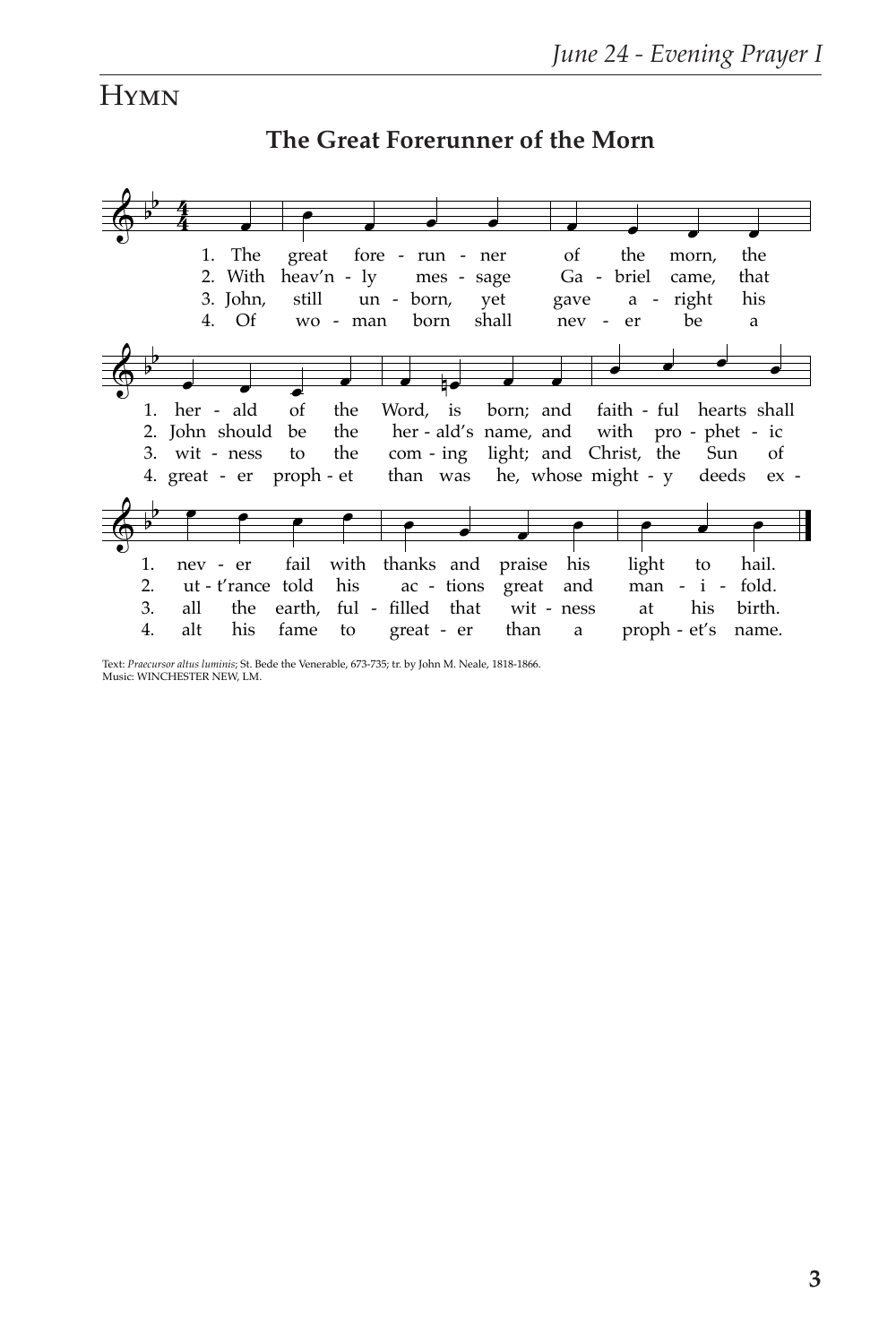## **HYMN**

#### $\spadesuit$  b b 4  $\frac{4}{4}$  . 4. 3. John, 2. With heav'n - ly 1. The Of **●** wo - man great still fore - run un - born, born mes shall ner sage yet œ œ œ œ nev of Ga - briel gave er the a be morn, came, right a the that his  $\spadesuit$  b  $\begin{array}{c|c|c|c|c|c} \hline \circ & \bullet & \bullet & \bullet \end{array}$ 4. great - er proph - et 3. wit - ness 2. John should be 1. her - ald of to the the the œ nœ œ œ than was he, whose might - y Word, is her - ald's name, and com - ing born; and light; and Christ, the œ œ œ œ faith - ful hearts shall with pro - phet - ic deeds Sun ex of  $\spadesuit$  $b$  e e e e 1. 2. 3. 4. alt nev - er ut - t'rance told all his the fame fail earth, ful - filled) that to with thanks and his œ œ œ œ great - er ac - tions than praise great wit - ness a his and <mark>е также</mark> proph - et's name. light man - i - fold. at to his hail. birth.

## **The Great Forerunner of the Morn**

Text: *Praecursor altus luminis*; St. Bede the Venerable, 673-735; tr. by John M. Neale, 1818-1866. Music: WINCHESTER NEW, LM.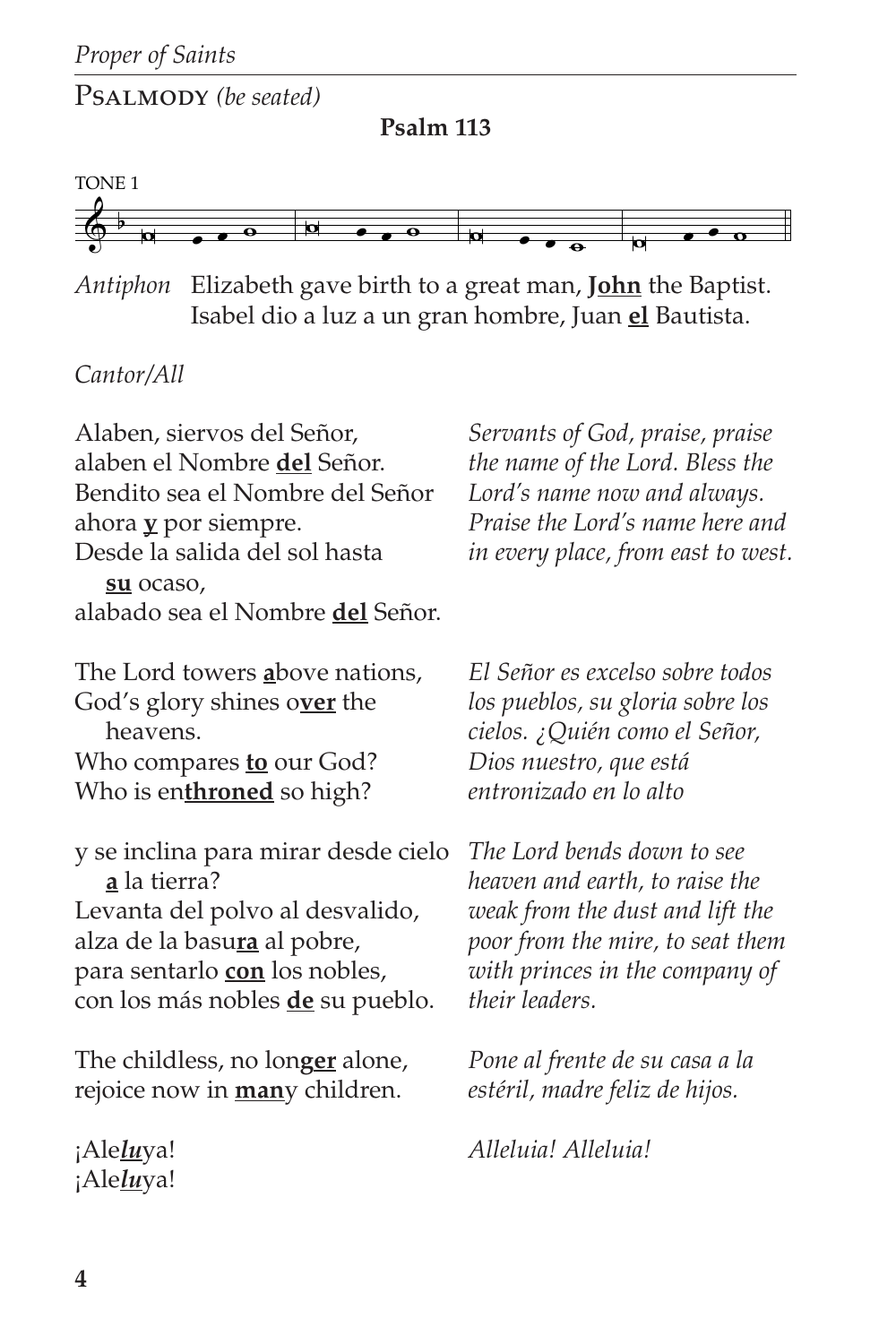Psalmody *(be seated)*

**Psalm 113**



*Antiphon* Elizabeth gave birth to a great man, **John** the Baptist. Isabel dio a luz a un gran hombre, Juan **el** Bautista.

#### *Cantor/All*

Alaben, siervos del Señor, alaben el Nombre **del** Señor. Bendito sea el Nombre del Señor ahora **y** por siempre. Desde la salida del sol hasta **su** ocaso, alabado sea el Nombre **del** Señor. The Lord towers **a**bove nations, God's glory shines o**ver** the heavens. Who compares **to** our God? Who is en**throned** so high? y se inclina para mirar desde cielo **a** la tierra? Levanta del polvo al desvalido, alza de la basu**ra** al pobre, para sentarlo **con** los nobles, con los más nobles **de** su pueblo. The childless, no lon**ger** alone, rejoice now in **man**y children. ¡Ale*lu*ya! *Servants of God, praise, praise the name of the Lord. Bless the Lord's name now and always. Praise the Lord's name here and in every place, from east to west. El Señor es excelso sobre todos los pueblos, su gloria sobre los cielos. ¿Quién como el Señor, Dios nuestro, que está entronizado en lo alto The Lord bends down to see heaven and earth, to raise the weak from the dust and lift the poor from the mire, to seat them with princes in the company of their leaders. Pone al frente de su casa a la estéril, madre feliz de hijos. Alleluia! Alleluia!*

¡Ale*lu*ya!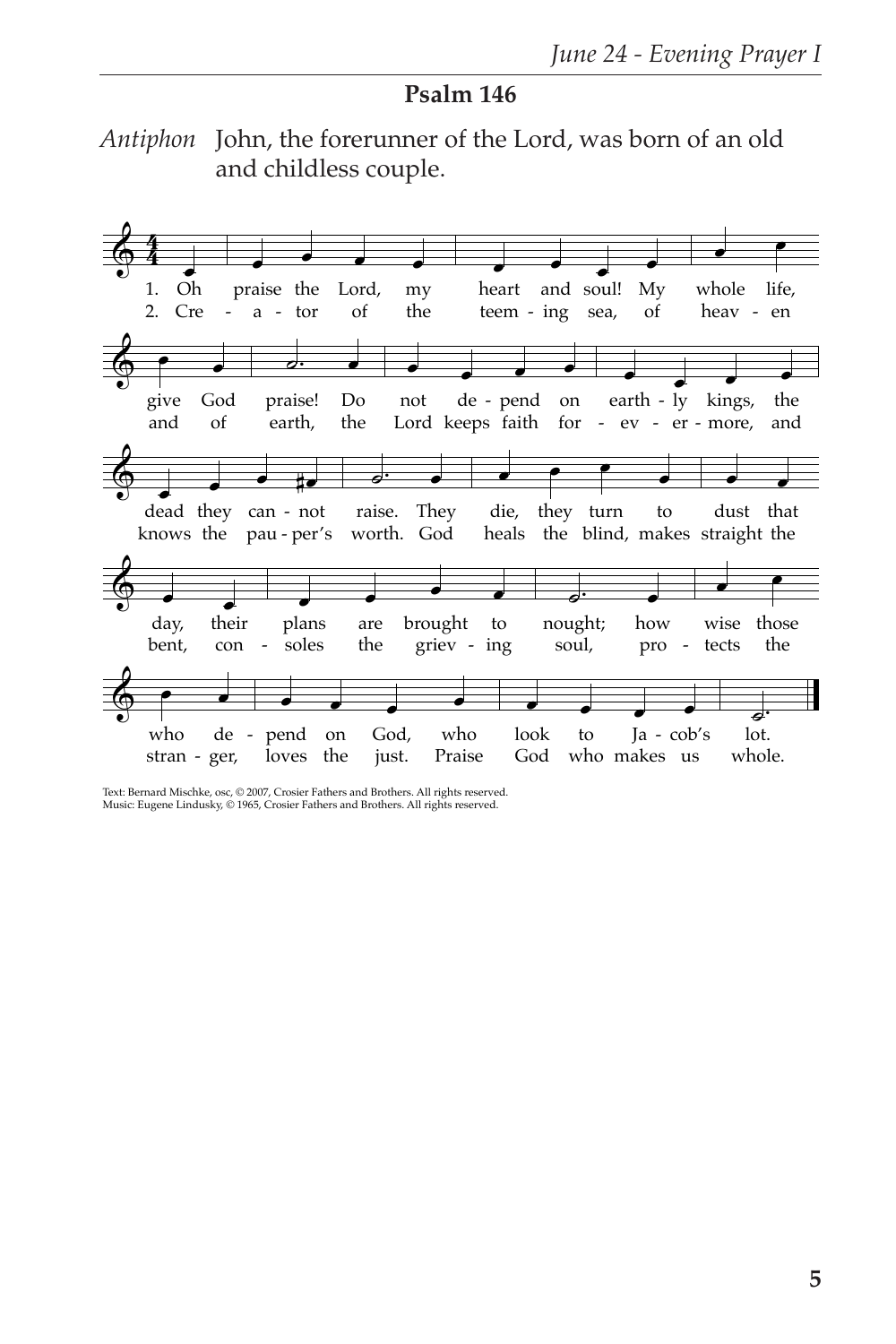#### **Psalm 146**

*Antiphon* John, the forerunner of the Lord, was born of an old and childless couple.



Text: Bernard Mischke, osc, © 2007, Crosier Fathers and Brothers. All rights reserved. Music: Eugene Lindusky, © 1965, Crosier Fathers and Brothers. All rights reserved.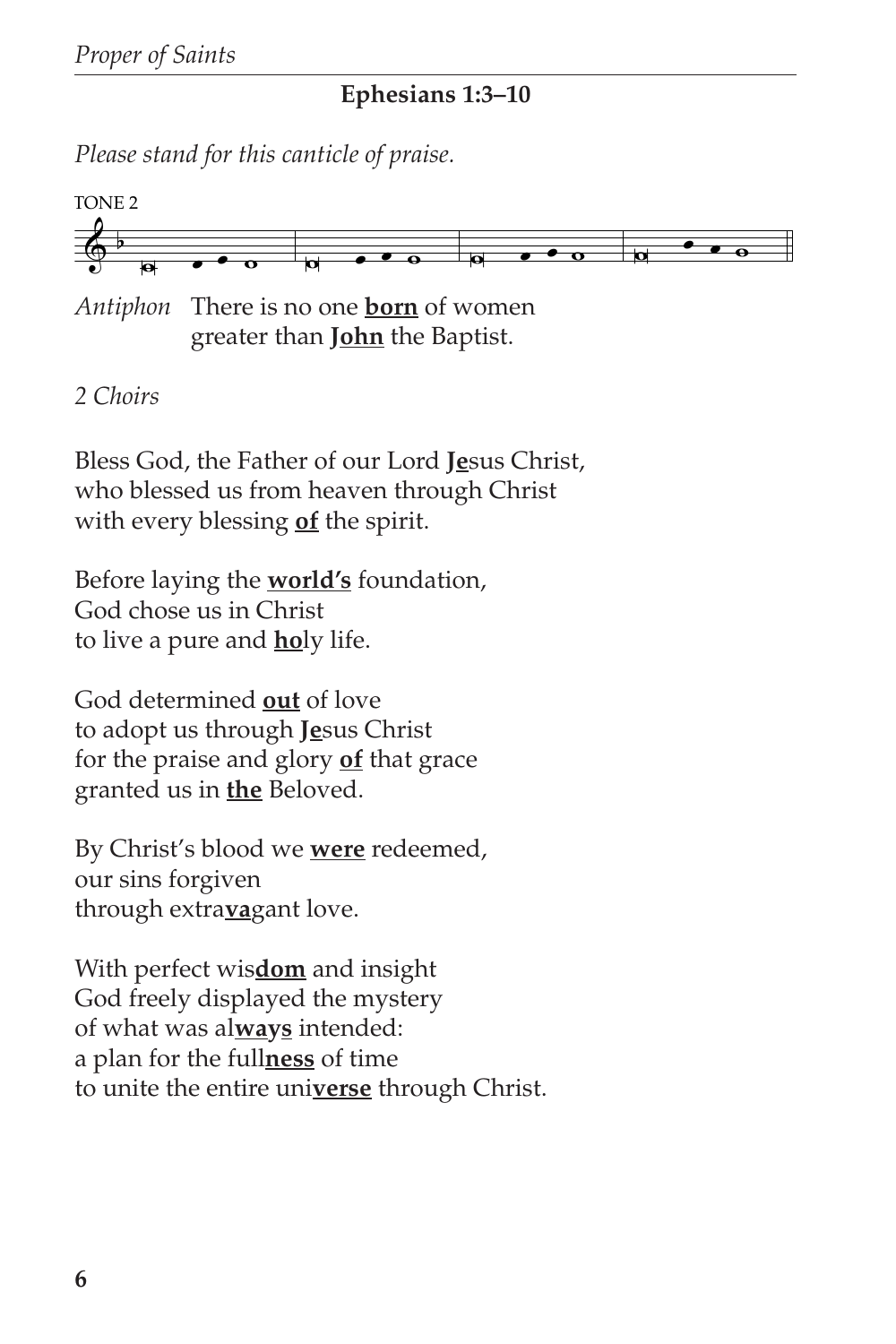#### **Ephesians 1:3–10**

*Please stand for this canticle of praise.*



*Antiphon* There is no one **born** of women greater than **John** the Baptist.

## *2 Choirs*

Bless God, the Father of our Lord **Je**sus Christ, who blessed us from heaven through Christ with every blessing **of** the spirit.

Before laying the **world's** foundation, God chose us in Christ to live a pure and **ho**ly life.

God determined **out** of love to adopt us through **Je**sus Christ for the praise and glory **of** that grace granted us in **the** Beloved.

By Christ's blood we **were** redeemed, our sins forgiven through extra**va**gant love.

With perfect wis**dom** and insight God freely displayed the mystery of what was al**ways** intended: a plan for the full**ness** of time to unite the entire uni**verse** through Christ.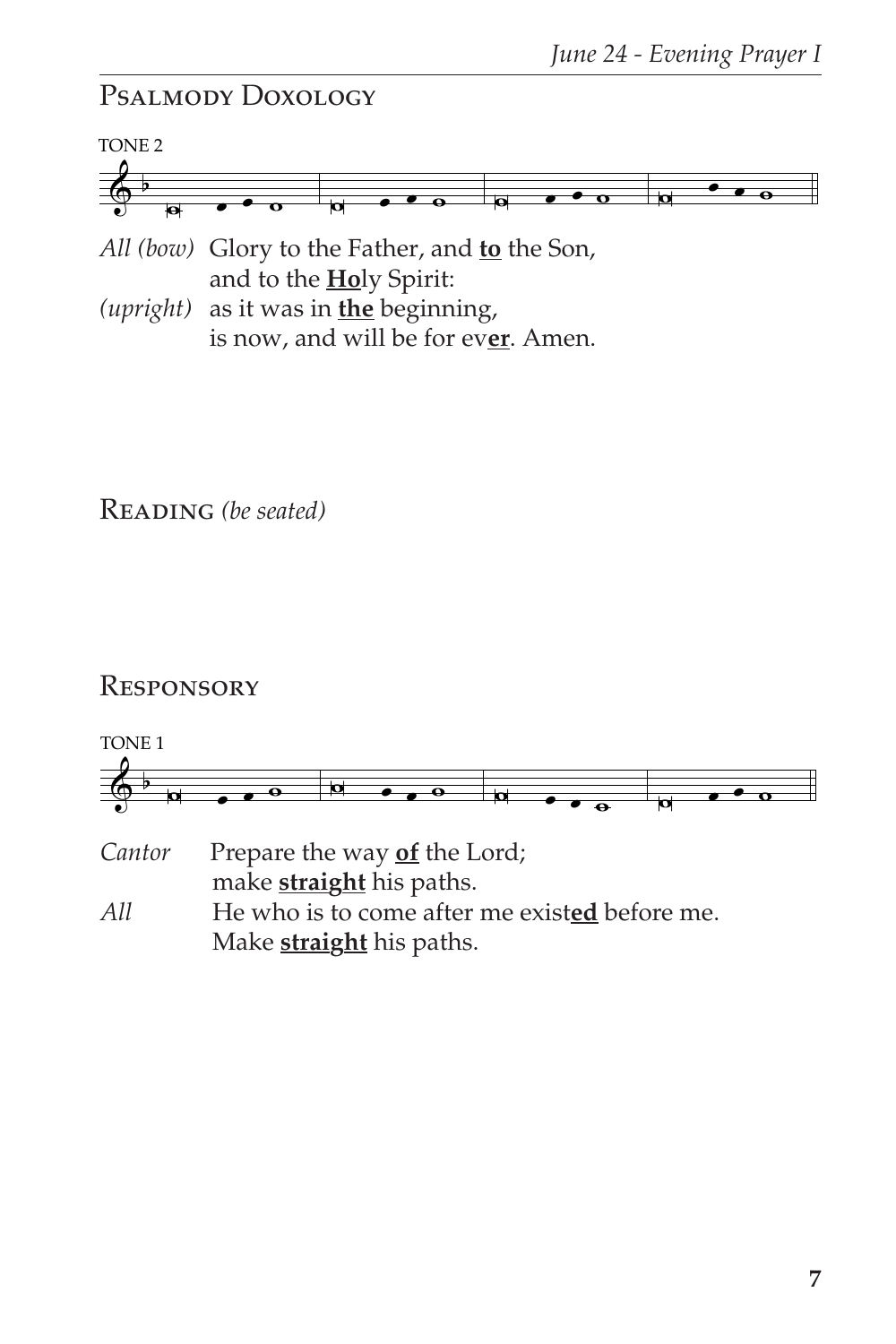## Psalmody Doxology



*All (bow)* Glory to the Father, and **to** the Son, and to the **Ho**ly Spirit:

*(upright)* as it was in **the** beginning, is now, and will be for ev**er**. Amen.

Reading *(be seated)*

## **RESPONSORY**

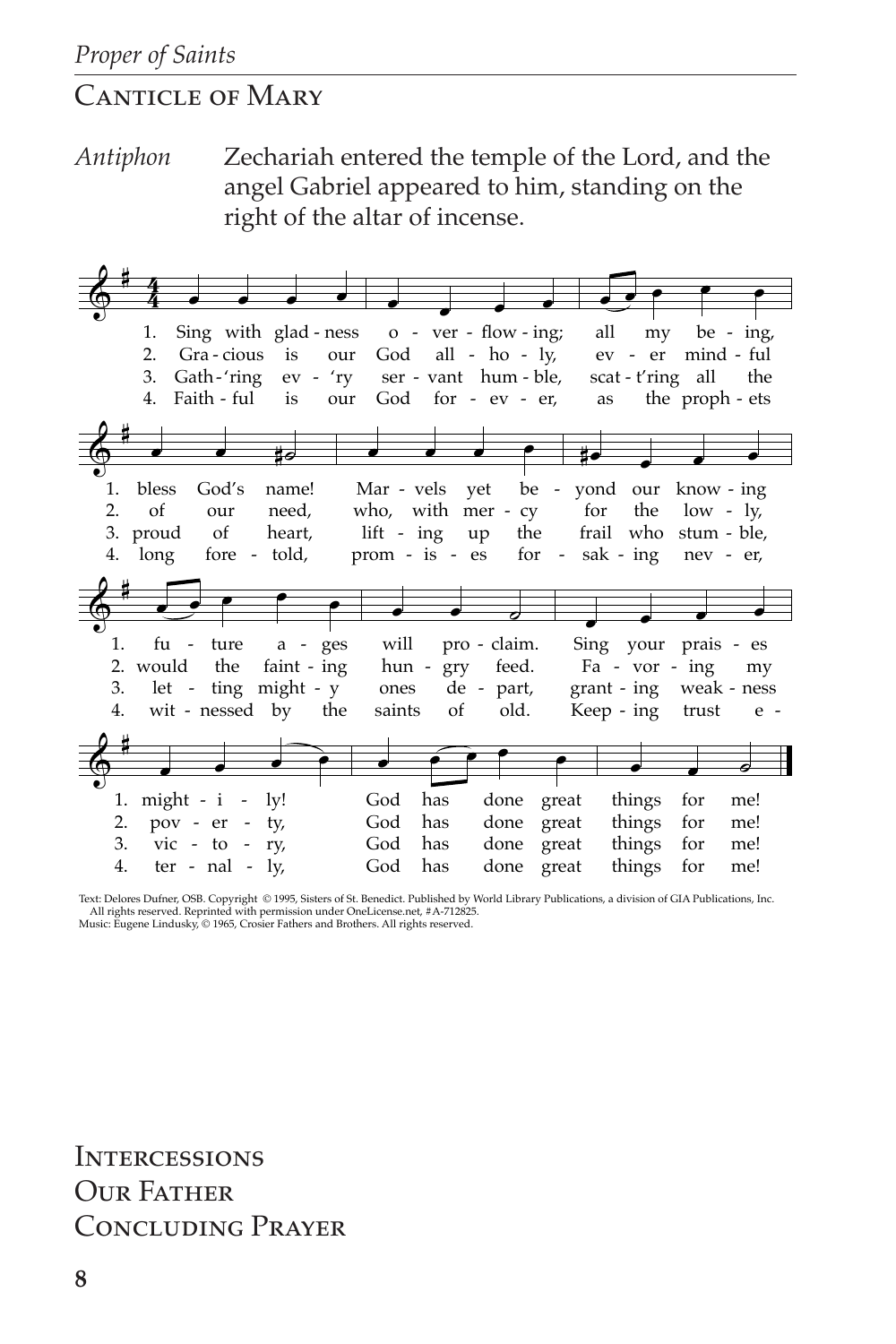## **CANTICLE OF MARY**

Zechariah entered the temple of the Lord, and the Antiphon angel Gabriel appeared to him, standing on the right of the altar of incense.

| all<br>Sing with glad-ness o - ver - flow-ing;<br>1.<br>my be - $ing$ ,<br>God all - $ho - ly$ ,<br>ev - er<br>mind - ful<br>2.<br>Gra-cious is<br>our<br>Gath-'ring ev - 'ry ser - vant hum - ble,<br>scat - t'ring all the<br>3.<br>Faith - ful<br>God for $-ev - er$ ,<br>the proph - ets<br>4.<br>is<br>our<br>as<br>Mar - vels yet be - yond our<br>bless<br>God's<br>name!<br>know - ing<br>1.<br>2.<br>who, with mer - cy for<br><sub>of</sub><br>need,<br>the<br>$low - ly$<br>our<br>$\circ$ of<br>lift - ing up the<br>frail who stum - ble,<br>heart,<br>3. proud<br>prom - is - es for - sak - ing nev - er,<br>4. long fore - told, |
|--------------------------------------------------------------------------------------------------------------------------------------------------------------------------------------------------------------------------------------------------------------------------------------------------------------------------------------------------------------------------------------------------------------------------------------------------------------------------------------------------------------------------------------------------------------------------------------------------------------------------------------------------|
|                                                                                                                                                                                                                                                                                                                                                                                                                                                                                                                                                                                                                                                  |
|                                                                                                                                                                                                                                                                                                                                                                                                                                                                                                                                                                                                                                                  |
|                                                                                                                                                                                                                                                                                                                                                                                                                                                                                                                                                                                                                                                  |
|                                                                                                                                                                                                                                                                                                                                                                                                                                                                                                                                                                                                                                                  |
|                                                                                                                                                                                                                                                                                                                                                                                                                                                                                                                                                                                                                                                  |
|                                                                                                                                                                                                                                                                                                                                                                                                                                                                                                                                                                                                                                                  |
|                                                                                                                                                                                                                                                                                                                                                                                                                                                                                                                                                                                                                                                  |
|                                                                                                                                                                                                                                                                                                                                                                                                                                                                                                                                                                                                                                                  |
|                                                                                                                                                                                                                                                                                                                                                                                                                                                                                                                                                                                                                                                  |
|                                                                                                                                                                                                                                                                                                                                                                                                                                                                                                                                                                                                                                                  |
|                                                                                                                                                                                                                                                                                                                                                                                                                                                                                                                                                                                                                                                  |
|                                                                                                                                                                                                                                                                                                                                                                                                                                                                                                                                                                                                                                                  |
|                                                                                                                                                                                                                                                                                                                                                                                                                                                                                                                                                                                                                                                  |
|                                                                                                                                                                                                                                                                                                                                                                                                                                                                                                                                                                                                                                                  |
|                                                                                                                                                                                                                                                                                                                                                                                                                                                                                                                                                                                                                                                  |
|                                                                                                                                                                                                                                                                                                                                                                                                                                                                                                                                                                                                                                                  |
|                                                                                                                                                                                                                                                                                                                                                                                                                                                                                                                                                                                                                                                  |
| pro - claim.<br>will<br>Sing your prais - es<br>fu - ture<br>1.<br>$a - ges$                                                                                                                                                                                                                                                                                                                                                                                                                                                                                                                                                                     |
|                                                                                                                                                                                                                                                                                                                                                                                                                                                                                                                                                                                                                                                  |
| 2. would the faint - ing<br>feed. Fa - vor - ing<br>hun - gry<br>my                                                                                                                                                                                                                                                                                                                                                                                                                                                                                                                                                                              |
| 3. let - ting might - y<br>ones de - part, grant - ing weak - ness                                                                                                                                                                                                                                                                                                                                                                                                                                                                                                                                                                               |
| wit - nessed by the<br>saints<br>of<br>old.<br>Keep - ing trust<br>4.<br>$e -$                                                                                                                                                                                                                                                                                                                                                                                                                                                                                                                                                                   |
|                                                                                                                                                                                                                                                                                                                                                                                                                                                                                                                                                                                                                                                  |
|                                                                                                                                                                                                                                                                                                                                                                                                                                                                                                                                                                                                                                                  |
|                                                                                                                                                                                                                                                                                                                                                                                                                                                                                                                                                                                                                                                  |
| 1. might - i - ly!<br>has<br>done<br>God<br>great<br>things<br>for<br>me!                                                                                                                                                                                                                                                                                                                                                                                                                                                                                                                                                                        |
| pov - er - ty,<br>has<br>things<br>God<br>done<br>great<br>for<br>me!<br>2.                                                                                                                                                                                                                                                                                                                                                                                                                                                                                                                                                                      |
|                                                                                                                                                                                                                                                                                                                                                                                                                                                                                                                                                                                                                                                  |
| things<br>3.<br>God<br>has<br>done<br>for<br>$\overline{\text{vic}}$ - to - rv,<br>great<br>me!                                                                                                                                                                                                                                                                                                                                                                                                                                                                                                                                                  |

Text: Delores Dufner, OSB. Copyright © 1995, Sisters of St. Benedict. Published by World Library Publications, a division of GIA Publications, Inc. All rights reserved. Reprinted with permission under OneLicense.net, #A-7

**INTERCESSIONS OUR FATHER CONCLUDING PRAYER**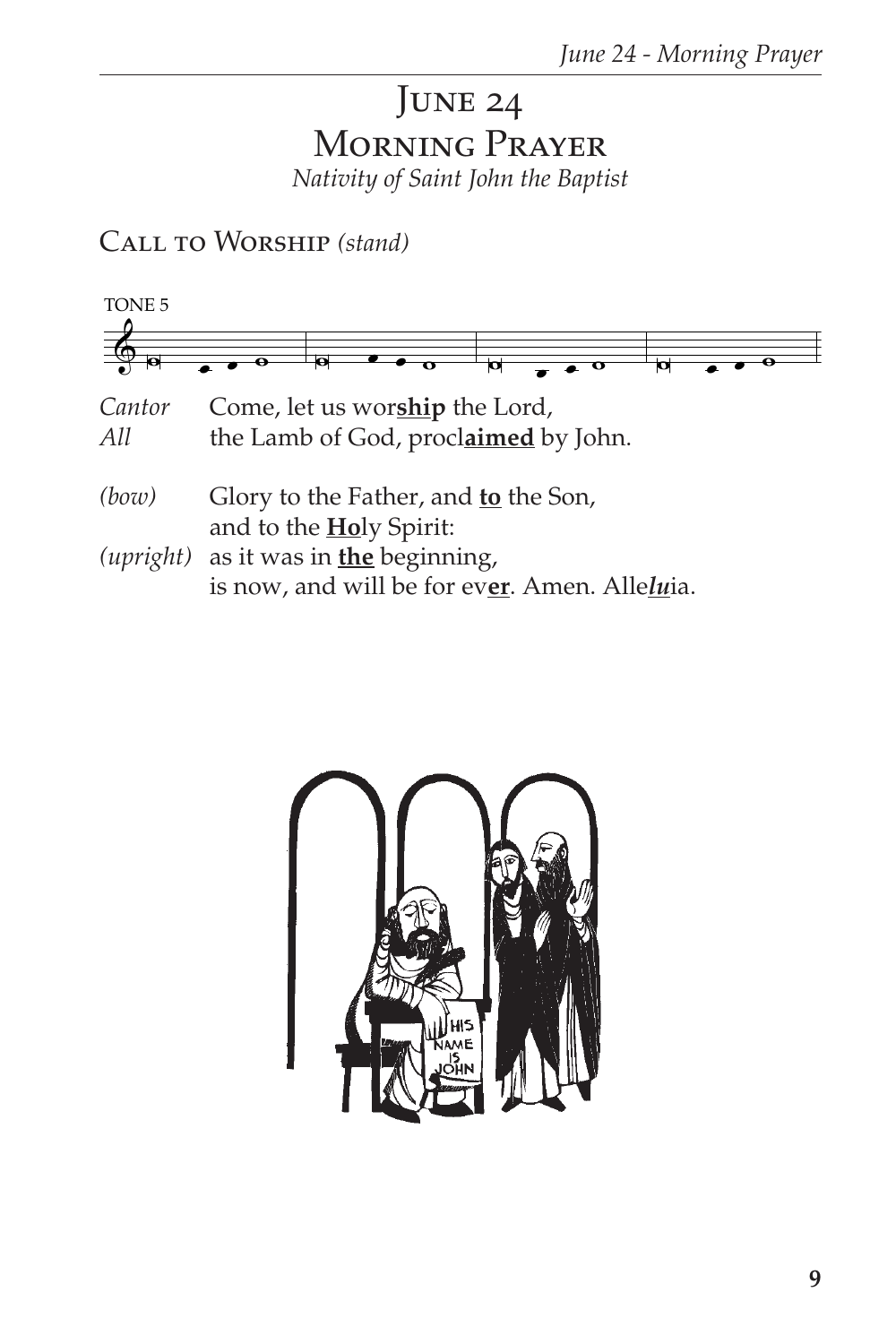## JUNE 24 MORNING PRAYER Nativity of Saint John the Baptist

CALL TO WORSHIP (stand)



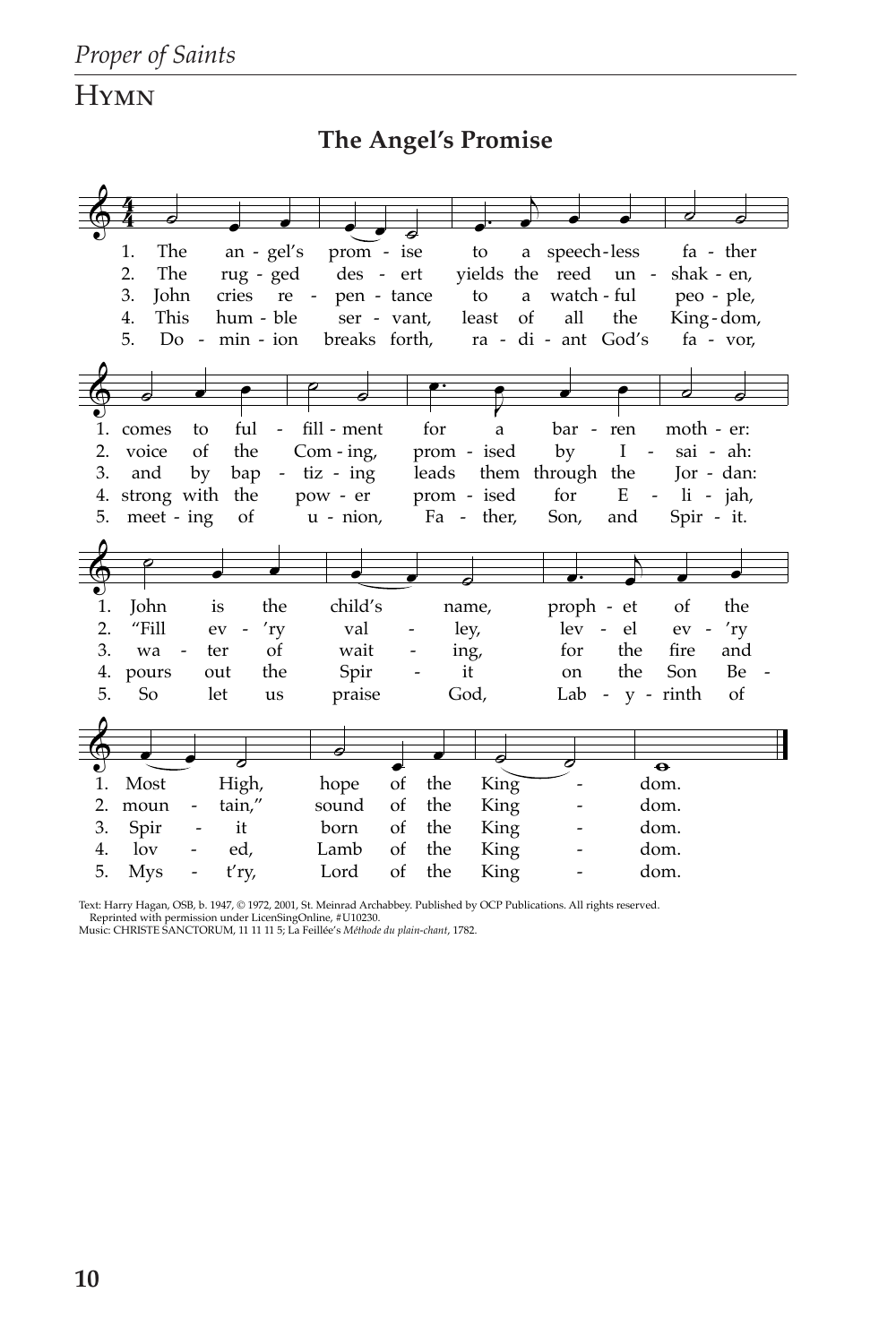## **HYMN**

## The Angel's Promise

|    | 1.<br>The      | an - gel's                       | prom - ise      |               |             | to                        | a speech-less<br>fa - ther         |                                          |  |  |  |
|----|----------------|----------------------------------|-----------------|---------------|-------------|---------------------------|------------------------------------|------------------------------------------|--|--|--|
|    | The<br>2.      | rug - ged                        | des - ert       |               |             |                           | yields the reed un -<br>shak - en, |                                          |  |  |  |
|    | 3.<br>John     | pen - tance                      |                 |               | to<br>a     | watch - ful<br>peo - ple, |                                    |                                          |  |  |  |
|    | This<br>4.     | hum - ble                        | ser - vant,     |               |             | <sub>of</sub><br>least    | all<br>the<br>King-dom,            |                                          |  |  |  |
|    | 5.<br>$Do -$   | breaks forth,                    |                 |               |             | ra - di - ant God's       | fa - vor,                          |                                          |  |  |  |
|    |                |                                  |                 |               |             |                           |                                    |                                          |  |  |  |
|    |                |                                  |                 |               |             |                           |                                    |                                          |  |  |  |
|    |                |                                  |                 |               |             |                           |                                    |                                          |  |  |  |
| 1. | comes          | ful<br>to<br>$\frac{1}{2}$       | fill - ment     |               | for         | a                         | bar - ren                          | moth - er:                               |  |  |  |
| 2. | voice          | the<br><sub>of</sub>             | Com - $ing$ ,   |               | prom - ised |                           | by                                 | I<br>sai - ah:<br>$\Box$                 |  |  |  |
| 3. | and            | bap<br>by                        | $-$ tiz $-$ ing |               |             |                           | leads them through the             | $\text{Ior}$ - dan:                      |  |  |  |
| 4. |                | strong with the                  | pow - er        |               | prom - ised |                           | for                                | E<br>$-$ li $-$ jah,                     |  |  |  |
| 5. | meet - ing     | of                               | $u$ - $nion$ ,  |               |             | Fa - ther,                | Son,                               | Spir - it.<br>and                        |  |  |  |
|    |                |                                  |                 |               |             |                           |                                    |                                          |  |  |  |
|    |                |                                  |                 |               |             |                           |                                    |                                          |  |  |  |
|    |                |                                  |                 |               |             |                           |                                    |                                          |  |  |  |
|    |                |                                  |                 |               |             |                           |                                    |                                          |  |  |  |
|    |                |                                  |                 |               |             |                           |                                    |                                          |  |  |  |
| 1. | John           | the<br>is                        | child's         |               | name,       |                           | proph - et                         | the<br>of                                |  |  |  |
| 2. | "Fill          | 'ry<br>ev                        | val             |               | ley,        |                           | lev - el                           | 'ry<br>$ev -$                            |  |  |  |
| 3. | wa             | οf<br>ter                        | wait            |               | ing,        |                           | for                                | the<br>fire<br>and                       |  |  |  |
| 4. | pours          | the<br>out                       | Spir            |               | it          |                           | <sub>on</sub>                      | the<br>Son<br>Be                         |  |  |  |
| 5. | So             | let<br>us                        | praise          |               | God,        |                           | Lab                                | of<br>$-y$ - $\mathbf{r}$ - $\mathbf{r}$ |  |  |  |
|    |                |                                  |                 |               |             |                           |                                    |                                          |  |  |  |
|    |                |                                  |                 |               |             |                           |                                    |                                          |  |  |  |
|    |                |                                  |                 |               |             |                           |                                    |                                          |  |  |  |
| 1. | Most           |                                  |                 | of            | the         |                           |                                    | $\overline{\bullet}$<br>dom.             |  |  |  |
| 2. |                | High,<br>tain,"<br>$\frac{1}{2}$ | hope<br>sound   | <sub>of</sub> | the         | King <sup>1</sup>         |                                    | dom.                                     |  |  |  |
| 3. | moun           | it                               | born            | <sub>of</sub> | the         | King                      |                                    |                                          |  |  |  |
| 4. | Spir<br>$\log$ | ed,                              | Lamb            | <sub>of</sub> | the         | King<br>King              |                                    | dom.<br>dom.                             |  |  |  |

Text: Harry Hagan, OSB, b. 1947, © 1972, 2001, St. Meinrad Archabbey. Published by OCP Publications. All rights reserved. Reprinted with permission under LicenSingOnline, #U10230.<br>Music: CHRISTE SANCTORUM, 11 $111$ 15; La F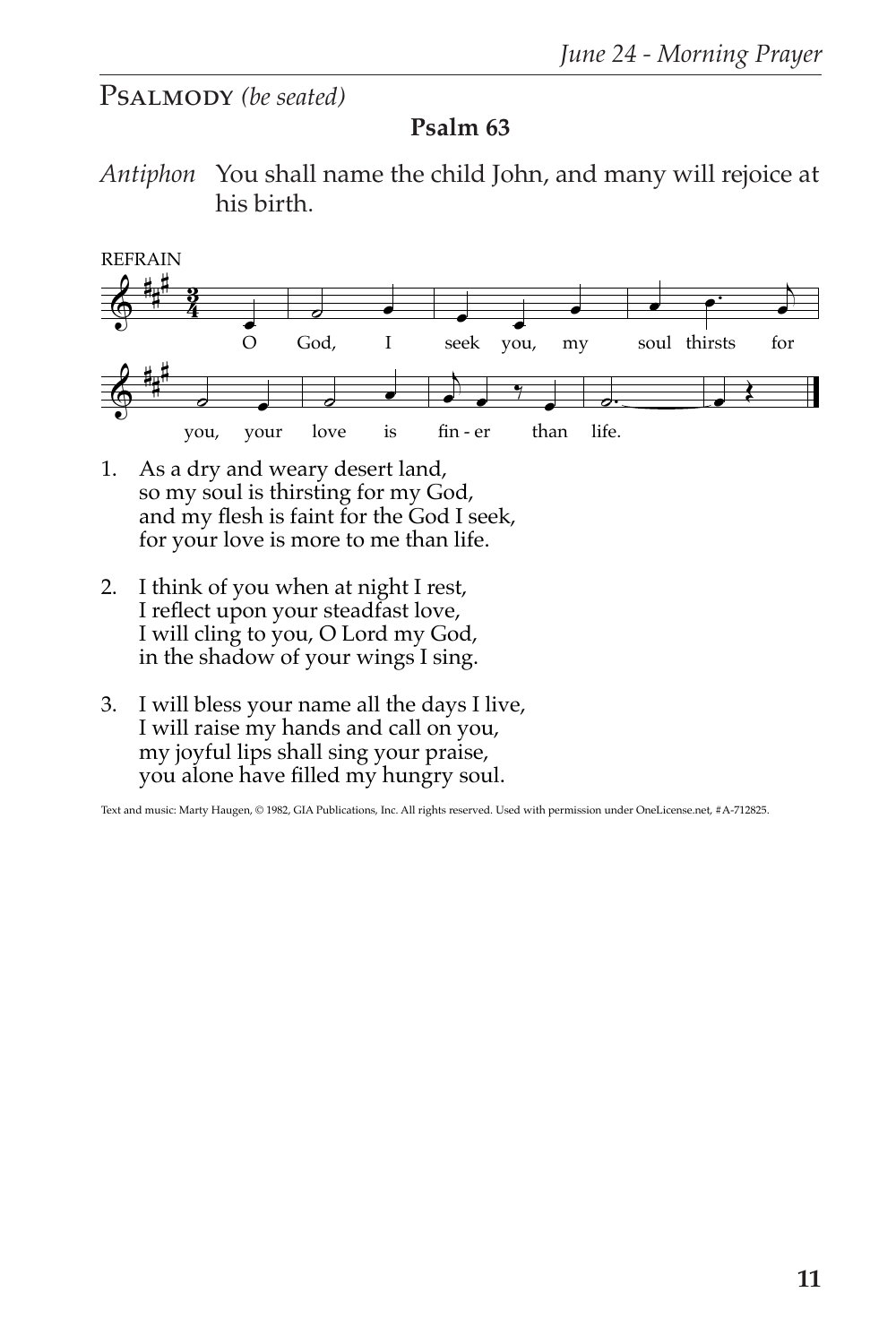## PSALMODY *(be seated)*

## **Psalm 63**

*Antiphon* You shall name the child John, and many will rejoice at his birth.



- 1. As a dry and weary desert land, so my soul is thirsting for my God, and my flesh is faint for the God I seek, for your love is more to me than life.
- 2. I think of you when at night I rest, I reflect upon your steadfast love, I will cling to you, O Lord my God, in the shadow of your wings I sing.
- 3. I will bless your name all the days I live, I will raise my hands and call on you, my joyful lips shall sing your praise, you alone have filled my hungry soul.

Text and music: Marty Haugen, © 1982, GIA Publications, Inc. All rights reserved. Used with permission under OneLicense.net, #A-712825.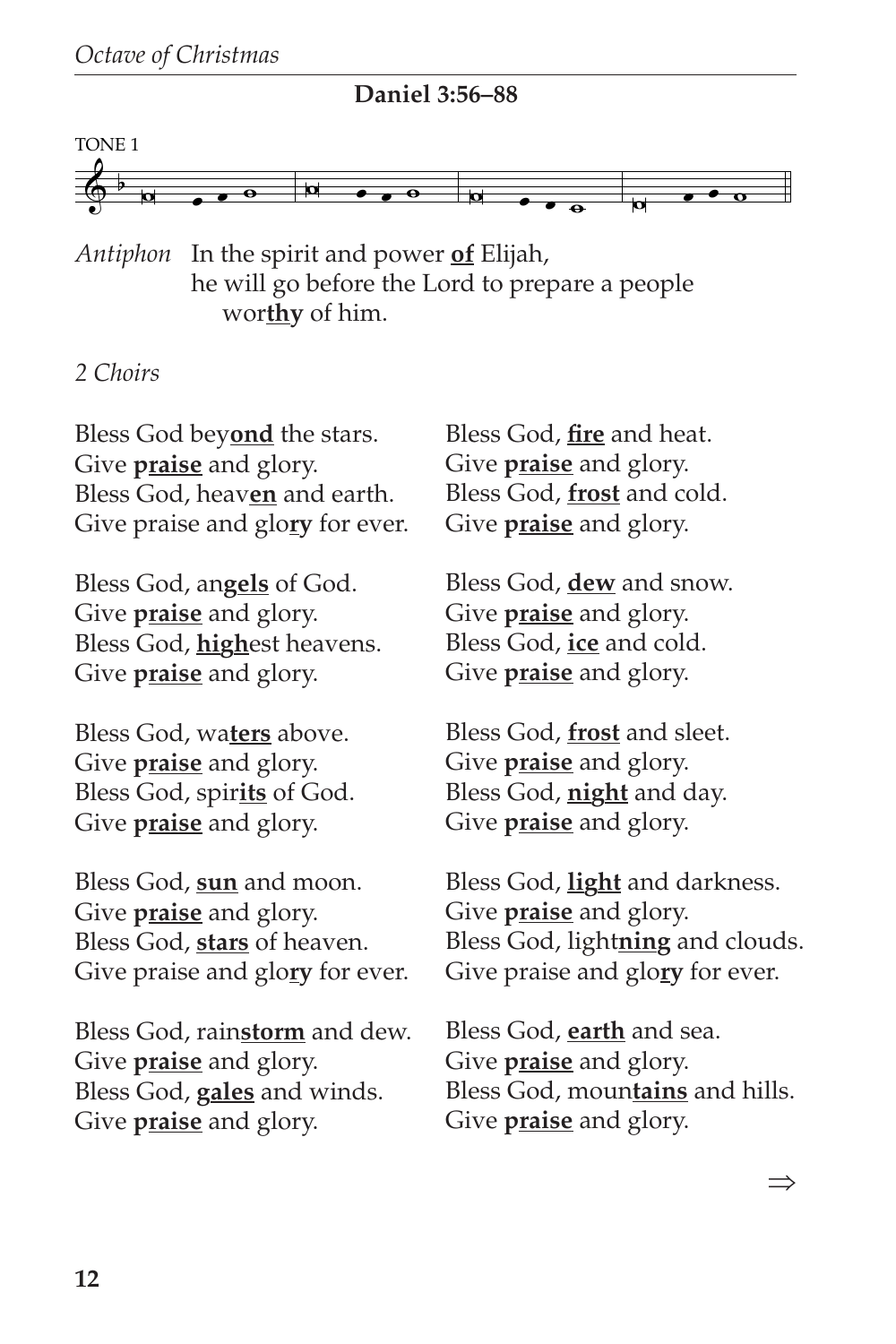

**Daniel 3:56–88**

*Antiphon* In the spirit and power **of** Elijah, he will go before the Lord to prepare a people wor**thy** of him.

#### *2 Choirs*

Bless God bey**ond** the stars. Give **praise** and glory. Bless God, heav**en** and earth. Give praise and glo**ry** for ever.

Bless God, an**gels** of God. Give **praise** and glory. Bless God, **high**est heavens. Give **praise** and glory.

Bless God, wa**ters** above. Give **praise** and glory. Bless God, spir**its** of God. Give **praise** and glory.

Bless God, **sun** and moon. Give **praise** and glory. Bless God, **stars** of heaven. Give praise and glo**ry** for ever.

Bless God, rain**storm** and dew. Give **praise** and glory. Bless God, **gales** and winds. Give **praise** and glory.

Bless God, **fire** and heat. Give **praise** and glory. Bless God, **frost** and cold. Give **praise** and glory.

Bless God, **dew** and snow. Give **praise** and glory. Bless God, **ice** and cold. Give **praise** and glory.

Bless God, **frost** and sleet. Give **praise** and glory. Bless God, **night** and day. Give **praise** and glory.

Bless God, **light** and darkness. Give **praise** and glory. Bless God, light**ning** and clouds. Give praise and glo**ry** for ever.

Bless God, **earth** and sea. Give **praise** and glory. Bless God, moun**tains** and hills. Give **praise** and glory.

⇒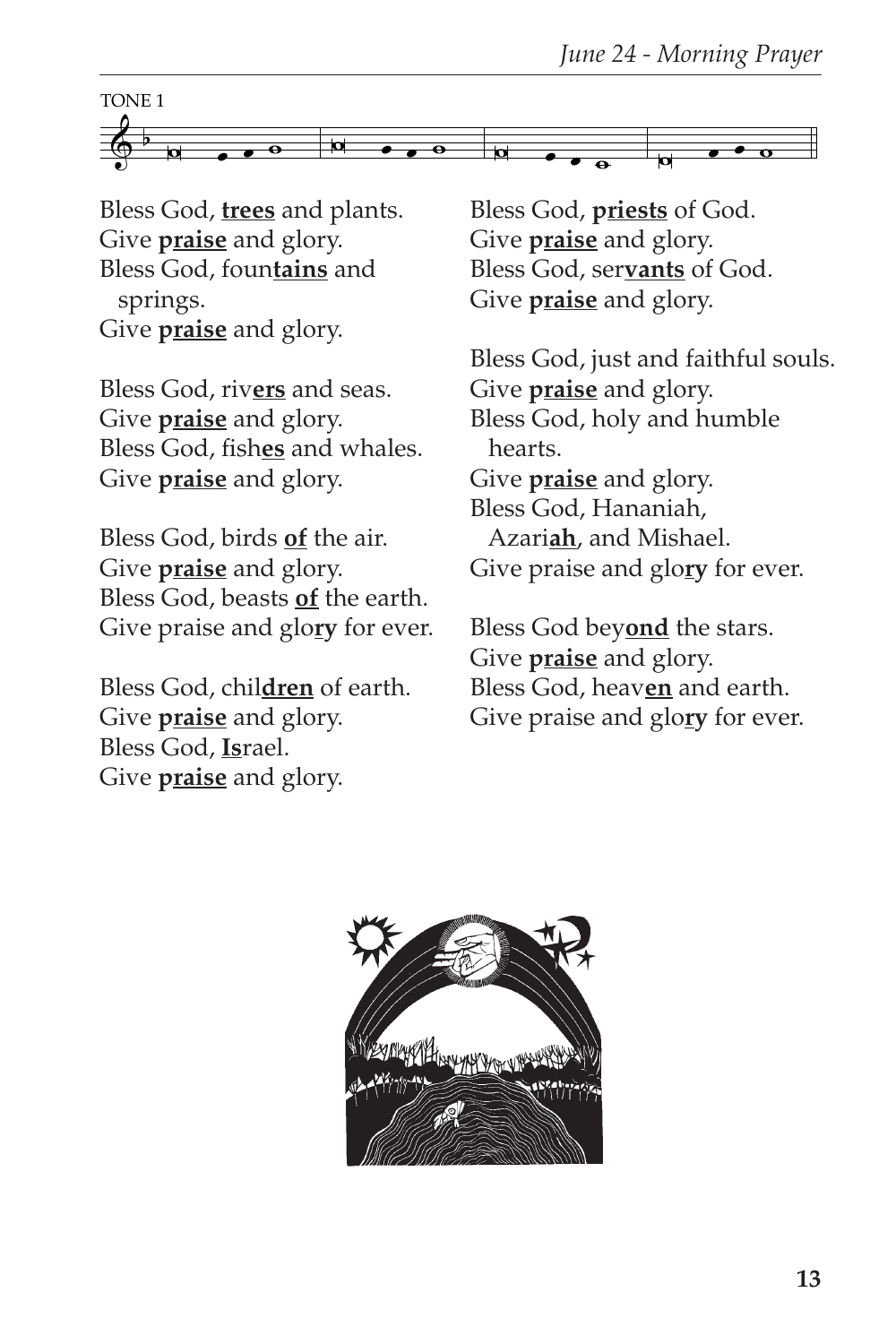

Bless God, **trees** and plants. Give **praise** and glory. Bless God, foun**tains** and springs. Give **praise** and glory.

Bless God, riv**ers** and seas. Give **praise** and glory. Bless God, fish**es** and whales. Give **praise** and glory.

Bless God, birds **of** the air. Give **praise** and glory. Bless God, beasts **of** the earth. Give praise and glo**ry** for ever.

Bless God, chil**dren** of earth. Give **praise** and glory. Bless God, **Is**rael. Give **praise** and glory.

Bless God, **priests** of God. Give **praise** and glory. Bless God, ser**vants** of God. Give **praise** and glory.

Bless God, just and faithful souls. Give **praise** and glory. Bless God, holy and humble hearts. Give **praise** and glory. Bless God, Hananiah, Azari**ah**, and Mishael. Give praise and glo**ry** for ever.

Bless God bey**ond** the stars. Give **praise** and glory. Bless God, heav**en** and earth. Give praise and glo**ry** for ever.

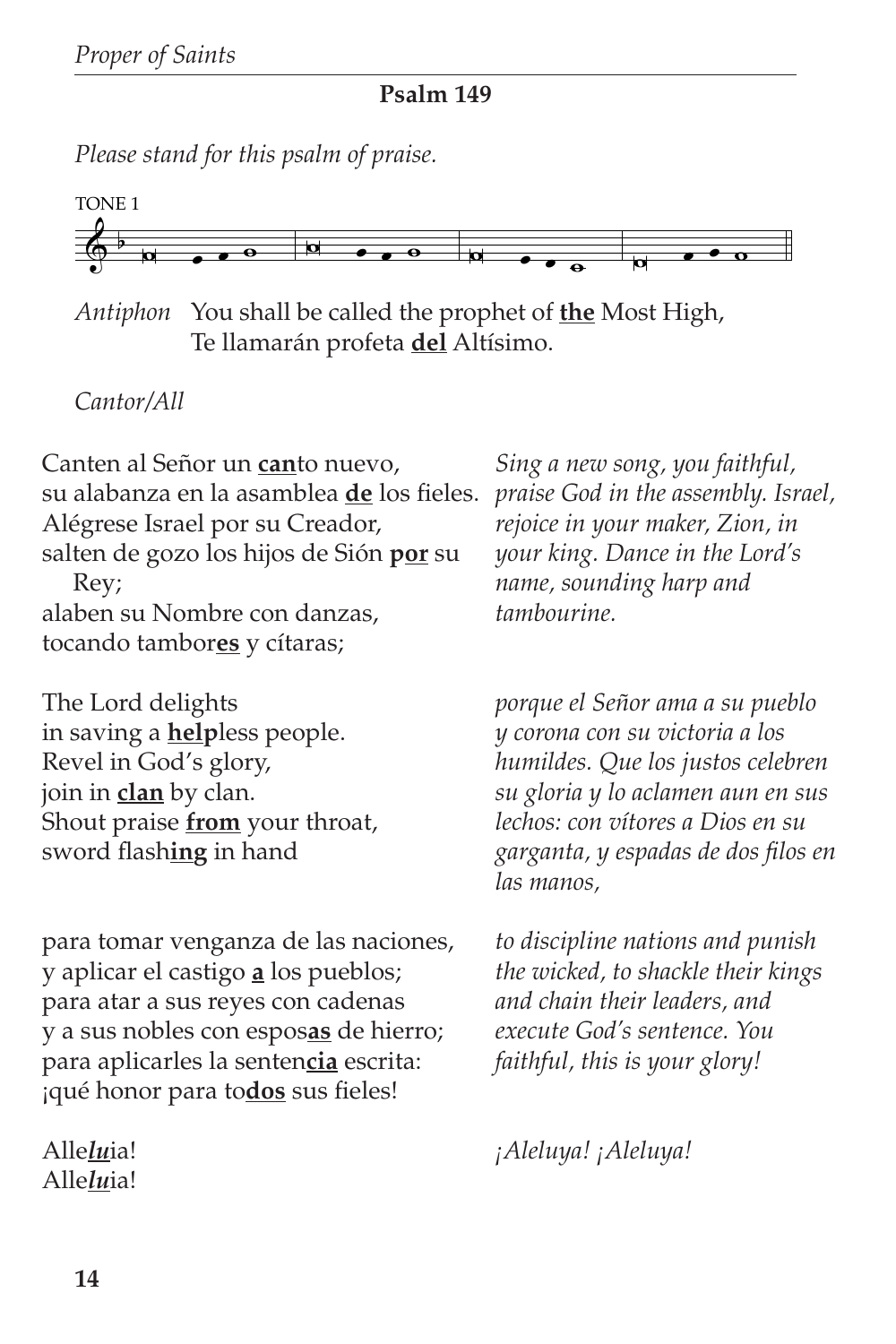**Psalm 149**

*Please stand for this psalm of praise.*



*Antiphon* You shall be called the prophet of **the** Most High, Te llamarán profeta **del** Altísimo.

## *Cantor/All*

Canten al Señor un **can**to nuevo, su alabanza en la asamblea **de** los fieles. Alégrese Israel por su Creador, salten de gozo los hijos de Sión **por** su Rey; alaben su Nombre con danzas, tocando tambor**es** y cítaras;

The Lord delights in saving a **help**less people. Revel in God's glory, join in **clan** by clan. Shout praise **from** your throat, sword flash**ing** in hand

para tomar venganza de las naciones, y aplicar el castigo **a** los pueblos; para atar a sus reyes con cadenas y a sus nobles con espos**as** de hierro; para aplicarles la senten**cia** escrita: ¡qué honor para to**dos** sus fieles!

Alle*lu*ia! Alle*lu*ia!

*Sing a new song, you faithful, praise God in the assembly. Israel, rejoice in your maker, Zion, in your king. Dance in the Lord's name, sounding harp and tambourine.*

*porque el Señor ama a su pueblo y corona con su victoria a los humildes. Que los justos celebren su gloria y lo aclamen aun en sus lechos: con vítores a Dios en su garganta, y espadas de dos filos en las manos,*

*to discipline nations and punish the wicked, to shackle their kings and chain their leaders, and execute God's sentence. You faithful, this is your glory!*

*¡Aleluya! ¡Aleluya!*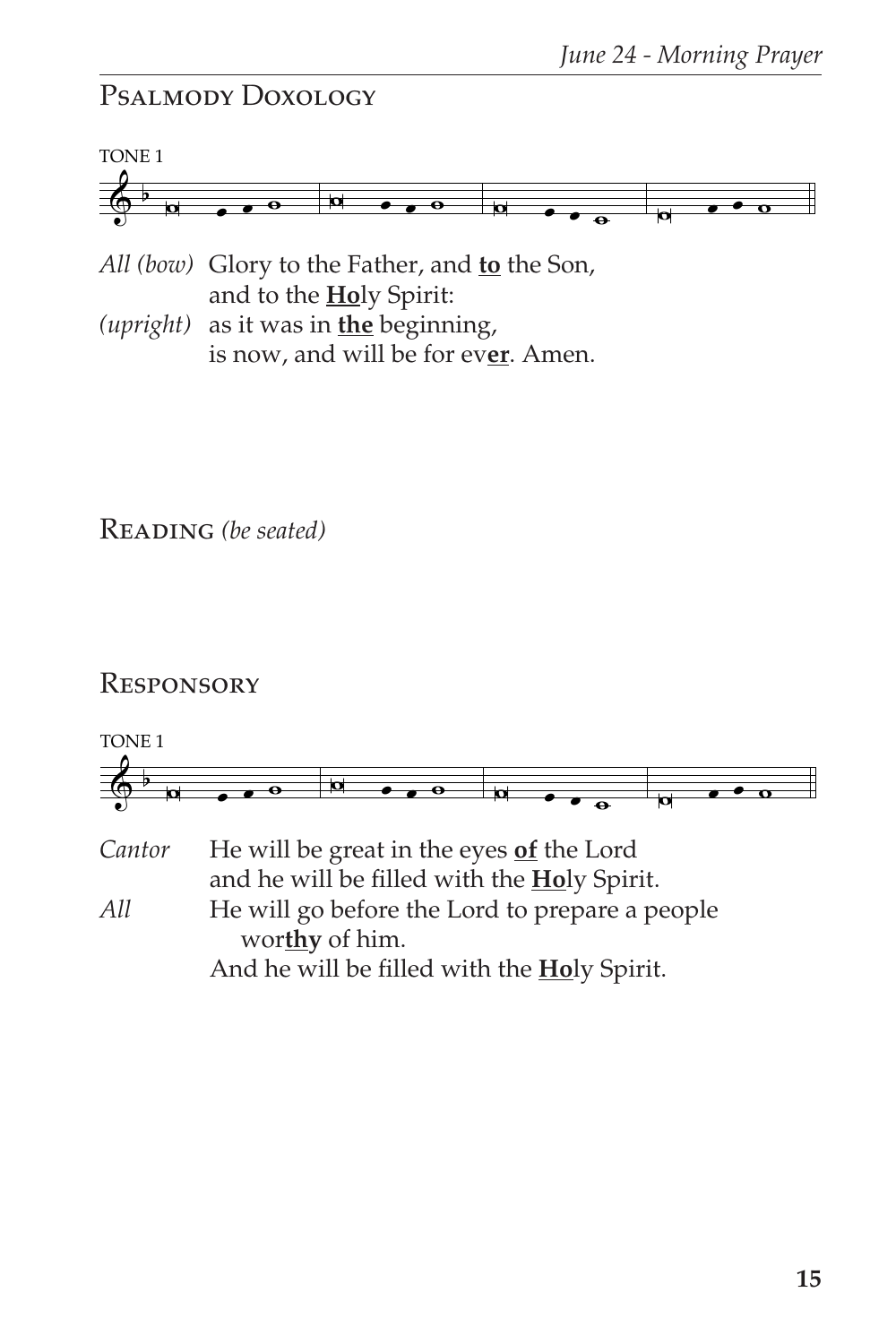## Psalmody Doxology



- *All (bow)* Glory to the Father, and **to** the Son, and to the **Ho**ly Spirit:
- *(upright)* as it was in **the** beginning, is now, and will be for ev**er**. Amen.

Reading *(be seated)*

#### **RESPONSORY**